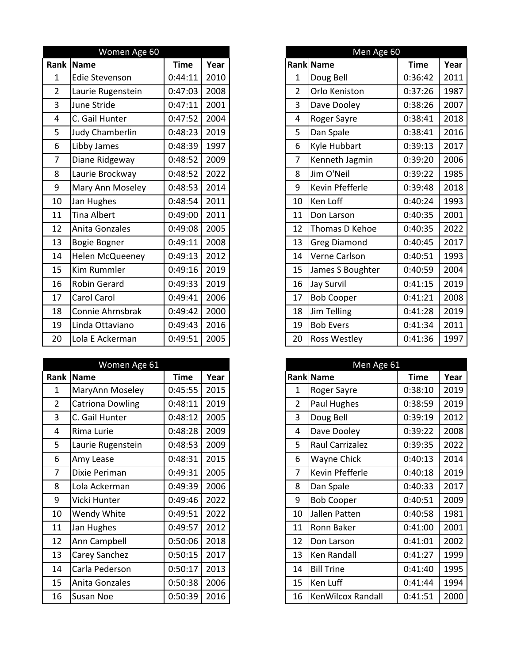|                | Women Age 60           |             |      |
|----------------|------------------------|-------------|------|
|                | Rank Name              | <b>Time</b> | Year |
| $\mathbf{1}$   | <b>Edie Stevenson</b>  | 0:44:11     | 2010 |
| $\overline{2}$ | Laurie Rugenstein      | 0:47:03     | 2008 |
| 3              | June Stride            | 0:47:11     | 2001 |
| 4              | C. Gail Hunter         | 0:47:52     | 2004 |
| 5              | <b>Judy Chamberlin</b> | 0:48:23     | 2019 |
| 6              | Libby James            | 0:48:39     | 1997 |
| $\overline{7}$ | Diane Ridgeway         | 0:48:52     | 2009 |
| 8              | Laurie Brockway        | 0:48:52     | 2022 |
| 9              | Mary Ann Moseley       | 0:48:53     | 2014 |
| 10             | Jan Hughes             | 0:48:54     | 2011 |
| 11             | Tina Albert            | 0:49:00     | 2011 |
| 12             | Anita Gonzales         | 0:49:08     | 2005 |
| 13             | Bogie Bogner           | 0:49:11     | 2008 |
| 14             | Helen McQueeney        | 0:49:13     | 2012 |
| 15             | Kim Rummler            | 0:49:16     | 2019 |
| 16             | Robin Gerard           | 0:49:33     | 2019 |
| 17             | <b>Carol Carol</b>     | 0:49:41     | 2006 |
| 18             | Connie Ahrnsbrak       | 0:49:42     | 2000 |
| 19             | Linda Ottaviano        | 0:49:43     | 2016 |
| 20             | Lola E Ackerman        | 0:49:51     | 2005 |

|                | Women Age 61      |         |      |                | Men Age 61        |             |
|----------------|-------------------|---------|------|----------------|-------------------|-------------|
|                | Rank Name         | Time    | Year |                | Rank Name         | <b>Time</b> |
| 1              | MaryAnn Moseley   | 0:45:55 | 2015 | 1              | Roger Sayre       | 0:38:10     |
| $\overline{2}$ | Catriona Dowling  | 0:48:11 | 2019 | $\overline{2}$ | Paul Hughes       | 0:38:59     |
| 3              | C. Gail Hunter    | 0:48:12 | 2005 | 3              | Doug Bell         | 0:39:19     |
| 4              | Rima Lurie        | 0:48:28 | 2009 | 4              | Dave Dooley       | 0:39:22     |
| 5              | Laurie Rugenstein | 0:48:53 | 2009 | 5              | Raul Carrizalez   | 0:39:35     |
| 6              | Amy Lease         | 0:48:31 | 2015 | 6              | Wayne Chick       | 0:40:13     |
| $\overline{7}$ | Dixie Periman     | 0:49:31 | 2005 | $\overline{7}$ | Kevin Pfefferle   | 0:40:18     |
| 8              | Lola Ackerman     | 0:49:39 | 2006 | 8              | Dan Spale         | 0:40:33     |
| 9              | Vicki Hunter      | 0:49:46 | 2022 | 9              | <b>Bob Cooper</b> | 0:40:51     |
| 10             | Wendy White       | 0:49:51 | 2022 | 10             | Jallen Patten     | 0:40:58     |
| 11             | Jan Hughes        | 0:49:57 | 2012 | 11             | Ronn Baker        | 0:41:00     |
| 12             | Ann Campbell      | 0:50:06 | 2018 | 12             | Don Larson        | 0:41:01     |
| 13             | Carey Sanchez     | 0:50:15 | 2017 | 13             | Ken Randall       | 0:41:27     |
| 14             | Carla Pederson    | 0:50:17 | 2013 | 14             | <b>Bill Trine</b> | 0:41:40     |
| 15             | Anita Gonzales    | 0:50:38 | 2006 | 15             | Ken Luff          | 0:41:44     |
| 16             | Susan Noe         | 0:50:39 | 2016 | 16             | KenWilcox Randall | 0:41:51     |

|                 | Women Age 60          |             |      |
|-----------------|-----------------------|-------------|------|
| ank             | Name                  | <b>Time</b> | Year |
| 1               | <b>Edie Stevenson</b> | 0:44:11     | 2010 |
| $\overline{2}$  | Laurie Rugenstein     | 0:47:03     | 2008 |
| 3               | June Stride           | 0:47:11     | 2001 |
| 4               | C. Gail Hunter        | 0:47:52     | 2004 |
| 5               | Judy Chamberlin       | 0:48:23     | 2019 |
| 6               | Libby James           | 0:48:39     | 1997 |
| $\overline{7}$  | Diane Ridgeway        | 0:48:52     | 2009 |
| 8               | Laurie Brockway       | 0:48:52     | 2022 |
| 9               | Mary Ann Moseley      | 0:48:53     | 2014 |
| LO.             | Jan Hughes            | 0:48:54     | 2011 |
| $\overline{1}$  | <b>Tina Albert</b>    | 0:49:00     | 2011 |
| $\overline{2}$  | Anita Gonzales        | 0:49:08     | 2005 |
| L3              | Bogie Bogner          | 0:49:11     | 2008 |
| L4              | Helen McQueeney       | 0:49:13     | 2012 |
| L5              | Kim Rummler           | 0:49:16     | 2019 |
| 16              | Robin Gerard          | 0:49:33     | 2019 |
| L7              | Carol Carol           | 0:49:41     | 2006 |
| L8              | Connie Ahrnsbrak      | 0:49:42     | 2000 |
| <b>9</b>        | Linda Ottaviano       | 0:49:43     | 2016 |
| 20 <sup>2</sup> | Lola E Ackerman       | 0:49:51     | 2005 |

|                | Women Age 61      |             |      |
|----------------|-------------------|-------------|------|
|                | ank Name          | <b>Time</b> | Year |
| $\mathbf{1}$   | MaryAnn Moseley   | 0:45:55     | 2015 |
| $\overline{2}$ | Catriona Dowling  | 0:48:11     | 2019 |
| $\overline{3}$ | C. Gail Hunter    | 0:48:12     | 2005 |
| 4              | Rima Lurie        | 0:48:28     | 2009 |
| $5\phantom{.}$ | Laurie Rugenstein | 0:48:53     | 2009 |
| 6              | Amy Lease         | 0:48:31     | 2015 |
| 7              | Dixie Periman     | 0:49:31     | 2005 |
| 8              | Lola Ackerman     | 0:49:39     | 2006 |
| 9              | Vicki Hunter      | 0:49:46     | 2022 |
| 10             | Wendy White       | 0:49:51     | 2022 |
| 11             | Jan Hughes        | 0:49:57     | 2012 |
| 12             | Ann Campbell      | 0:50:06     | 2018 |
| 13             | Carey Sanchez     | 0:50:15     | 2017 |
| 14             | Carla Pederson    | 0:50:17     | 2013 |
| 15             | Anita Gonzales    | 0:50:38     | 2006 |
| 16             | Susan Noe         | 0:50:39     | 2016 |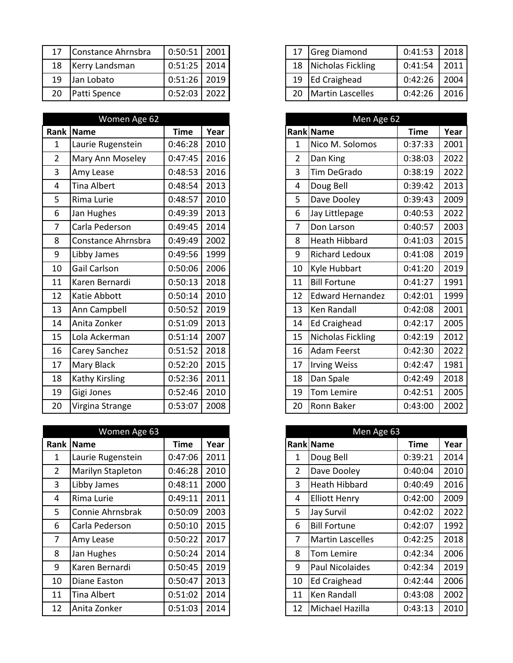|                 | 17 Constance Ahrnsbra | $0:50:51$   2001 |  |
|-----------------|-----------------------|------------------|--|
| 18              | Kerry Landsman        | $0:51:25$ 2014   |  |
| 19              | Jan Lobato            | $0:51:26$ 2019   |  |
| 20 <sup>2</sup> | Patti Spence          | $0:52:03$   2022 |  |

|                | Women Age 62       |             |      |                | Men Age 62               |             |      |
|----------------|--------------------|-------------|------|----------------|--------------------------|-------------|------|
|                | Rank Name          | <b>Time</b> | Year |                | Rank Name                | <b>Time</b> | Year |
| $\mathbf{1}$   | Laurie Rugenstein  | 0:46:28     | 2010 | $\mathbf{1}$   | Nico M. Solomos          | 0:37:33     | 2001 |
| $\overline{2}$ | Mary Ann Moseley   | 0:47:45     | 2016 | $\overline{2}$ | Dan King                 | 0:38:03     | 2022 |
| 3              | Amy Lease          | 0:48:53     | 2016 | 3              | Tim DeGrado              | 0:38:19     | 2022 |
| 4              | <b>Tina Albert</b> | 0:48:54     | 2013 | 4              | Doug Bell                | 0:39:42     | 2013 |
| 5              | Rima Lurie         | 0:48:57     | 2010 | 5              | Dave Dooley              | 0:39:43     | 2009 |
| 6              | Jan Hughes         | 0:49:39     | 2013 | 6              | Jay Littlepage           | 0:40:53     | 2022 |
| $\overline{7}$ | Carla Pederson     | 0:49:45     | 2014 | $\overline{7}$ | Don Larson               | 0:40:57     | 2003 |
| 8              | Constance Ahrnsbra | 0:49:49     | 2002 | 8              | <b>Heath Hibbard</b>     | 0:41:03     | 2015 |
| 9              | Libby James        | 0:49:56     | 1999 | 9              | Richard Ledoux           | 0:41:08     | 2019 |
| 10             | Gail Carlson       | 0:50:06     | 2006 | 10             | Kyle Hubbart             | 0:41:20     | 2019 |
| 11             | Karen Bernardi     | 0:50:13     | 2018 | 11             | <b>Bill Fortune</b>      | 0:41:27     | 1991 |
| 12             | Katie Abbott       | 0:50:14     | 2010 | 12             | <b>Edward Hernandez</b>  | 0:42:01     | 1999 |
| 13             | Ann Campbell       | 0:50:52     | 2019 | 13             | Ken Randall              | 0:42:08     | 2001 |
| 14             | Anita Zonker       | 0:51:09     | 2013 | 14             | <b>Ed Craighead</b>      | 0:42:17     | 2005 |
| 15             | Lola Ackerman      | 0:51:14     | 2007 | 15             | <b>Nicholas Fickling</b> | 0:42:19     | 2012 |
| 16             | Carey Sanchez      | 0:51:52     | 2018 | 16             | <b>Adam Feerst</b>       | 0:42:30     | 2022 |
| 17             | <b>Mary Black</b>  | 0:52:20     | 2015 | 17             | <b>Irving Weiss</b>      | 0:42:47     | 1981 |
| 18             | Kathy Kirsling     | 0:52:36     | 2011 | 18             | Dan Spale                | 0:42:49     | 2018 |
| 19             | Gigi Jones         | 0:52:46     | 2010 | 19             | Tom Lemire               | 0:42:51     | 2005 |
| 20             | Virgina Strange    | 0:53:07     | 2008 | 20             | Ronn Baker               | 0:43:00     | 2002 |

|                | Women Age 63      |         |      |    | Men Age 63              |             |      |
|----------------|-------------------|---------|------|----|-------------------------|-------------|------|
|                | <b>Rank Name</b>  | Time    | Year |    | <b>Rank Name</b>        | <b>Time</b> | Year |
| 1              | Laurie Rugenstein | 0:47:06 | 2011 | 1  | Doug Bell               | 0:39:21     | 2014 |
| $\overline{2}$ | Marilyn Stapleton | 0:46:28 | 2010 | 2  | Dave Dooley             | 0:40:04     | 2010 |
| $\overline{3}$ | Libby James       | 0:48:11 | 2000 | 3  | <b>Heath Hibbard</b>    | 0:40:49     | 2016 |
| 4              | Rima Lurie        | 0:49:11 | 2011 | 4  | <b>Elliott Henry</b>    | 0:42:00     | 2009 |
| 5              | Connie Ahrnsbrak  | 0:50:09 | 2003 | 5  | Jay Survil              | 0:42:02     | 2022 |
| 6              | Carla Pederson    | 0:50:10 | 2015 | 6  | <b>Bill Fortune</b>     | 0:42:07     | 1992 |
| $\overline{7}$ | Amy Lease         | 0:50:22 | 2017 | 7  | <b>Martin Lascelles</b> | 0:42:25     | 2018 |
| 8              | Jan Hughes        | 0:50:24 | 2014 | 8  | Tom Lemire              | 0:42:34     | 2006 |
| 9              | Karen Bernardi    | 0:50:45 | 2019 | 9  | <b>Paul Nicolaides</b>  | 0:42:34     | 2019 |
| 10             | Diane Easton      | 0:50:47 | 2013 | 10 | Ed Craighead            | 0:42:44     | 2006 |
| 11             | Tina Albert       | 0:51:02 | 2014 | 11 | Ken Randall             | 0:43:08     | 2002 |
| 12             | Anita Zonker      | 0:51:03 | 2014 | 12 | Michael Hazilla         | 0:43:13     | 2010 |

| 17 | Constance Ahrnsbra | $0:50:51$   2001 | 17 | <b>Greg Diamond</b>   | 0:41:53 |  |
|----|--------------------|------------------|----|-----------------------|---------|--|
| 18 | Kerry Landsman     | $0:51:25$   2014 |    | 18 Nicholas Fickling  | 0:41:54 |  |
| 19 | Jan Lobato         | $0:51:26$   2019 |    | 19 Ed Craighead       | 0:42:26 |  |
| 20 | Patti Spence       | $0:52:03$   2022 |    | 20   Martin Lascelles | 0:42:26 |  |

|                  | Women Age 62       |             |      |
|------------------|--------------------|-------------|------|
|                  | ank Name           | <b>Time</b> | Year |
| $\mathbf{1}$     | Laurie Rugenstein  | 0:46:28     | 2010 |
| $\overline{2}$   | Mary Ann Moseley   | 0:47:45     | 2016 |
| 3                | Amy Lease          | 0:48:53     | 2016 |
| 4                | <b>Tina Albert</b> | 0:48:54     | 2013 |
| 5                | Rima Lurie         | 0:48:57     | 2010 |
| 6                | Jan Hughes         | 0:49:39     | 2013 |
| $\overline{7}$   | Carla Pederson     | 0:49:45     | 2014 |
| 8                | Constance Ahrnsbra | 0:49:49     | 2002 |
| $\boldsymbol{9}$ | Libby James        | 0:49:56     | 1999 |
| 10               | Gail Carlson       | 0:50:06     | 2006 |
| 11               | Karen Bernardi     | 0:50:13     | 2018 |
| 12               | Katie Abbott       | 0:50:14     | 2010 |
| 13               | Ann Campbell       | 0:50:52     | 2019 |
| 14               | Anita Zonker       | 0:51:09     | 2013 |
| 15               | Lola Ackerman      | 0:51:14     | 2007 |
| 16               | Carey Sanchez      | 0:51:52     | 2018 |
| 17               | Mary Black         | 0:52:20     | 2015 |
| 18               | Kathy Kirsling     | 0:52:36     | 2011 |
| 19               | Gigi Jones         | 0:52:46     | 2010 |
| 20               | Virgina Strange    | 0:53:07     | 2008 |

|                | Women Age 63       |             |      |
|----------------|--------------------|-------------|------|
|                | ank Name           | <b>Time</b> | Year |
|                | Laurie Rugenstein  | 0:47:06     | 2011 |
|                | Marilyn Stapleton  | 0:46:28     | 2010 |
|                | Libby James        | 0:48:11     | 2000 |
|                | Rima Lurie         | 0:49:11     | 2011 |
| 5 <sup>5</sup> | Connie Ahrnsbrak   | 0:50:09     | 2003 |
|                | Carla Pederson     | 0:50:10     | 2015 |
| $\overline{7}$ | Amy Lease          | 0:50:22     | 2017 |
| 8              | Jan Hughes         | 0:50:24     | 2014 |
| 9              | Karen Bernardi     | 0:50:45     | 2019 |
| 10             | Diane Easton       | 0:50:47     | 2013 |
| 11             | <b>Tina Albert</b> | 0:51:02     | 2014 |
| 12             | Anita Zonker       | 0:51:03     | 2014 |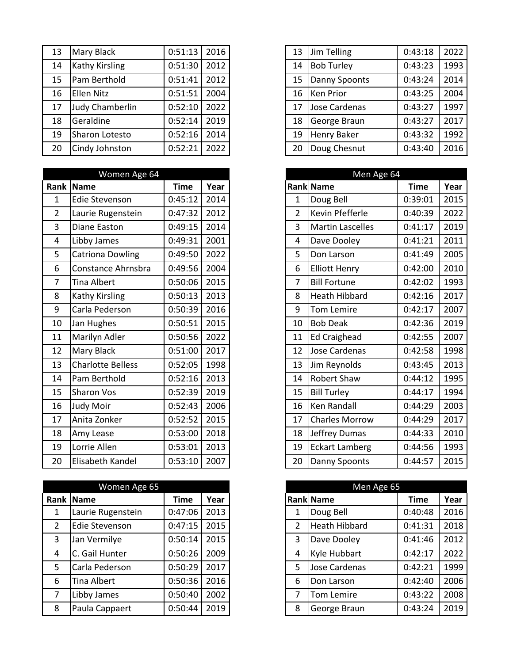| 13 | <b>Mary Black</b>      | 0:51:13 | 2016 |
|----|------------------------|---------|------|
| 14 | <b>Kathy Kirsling</b>  | 0:51:30 | 2012 |
| 15 | Pam Berthold           | 0:51:41 | 2012 |
| 16 | <b>Ellen Nitz</b>      | 0:51:51 | 2004 |
| 17 | <b>Judy Chamberlin</b> | 0:52:10 | 2022 |
| 18 | Geraldine              | 0:52:14 | 2019 |
| 19 | Sharon Lotesto         | 0:52:16 | 2014 |
| 20 | Cindy Johnston         | 0:52:21 | 2022 |

|                | Women Age 64             |             |      |
|----------------|--------------------------|-------------|------|
|                | Rank Name                | <b>Time</b> | Year |
| $\mathbf{1}$   | Edie Stevenson           | 0:45:12     | 2014 |
| $\overline{2}$ | Laurie Rugenstein        | 0:47:32     | 2012 |
| 3              | Diane Easton             | 0:49:15     | 2014 |
| 4              | Libby James              | 0:49:31     | 2001 |
| 5              | <b>Catriona Dowling</b>  | 0:49:50     | 2022 |
| 6              | Constance Ahrnsbra       | 0:49:56     | 2004 |
| $\overline{7}$ | <b>Tina Albert</b>       | 0:50:06     | 2015 |
| 8              | Kathy Kirsling           | 0:50:13     | 2013 |
| 9              | Carla Pederson           | 0:50:39     | 2016 |
| 10             | Jan Hughes               | 0:50:51     | 2015 |
| 11             | Marilyn Adler            | 0:50:56     | 2022 |
| 12             | <b>Mary Black</b>        | 0:51:00     | 2017 |
| 13             | <b>Charlotte Belless</b> | 0:52:05     | 1998 |
| 14             | Pam Berthold             | 0:52:16     | 2013 |
| 15             | <b>Sharon Vos</b>        | 0:52:39     | 2019 |
| 16             | Judy Moir                | 0:52:43     | 2006 |
| 17             | Anita Zonker             | 0:52:52     | 2015 |
| 18             | Amy Lease                | 0:53:00     | 2018 |
| 19             | Lorrie Allen             | 0:53:01     | 2013 |
| 20             | Elisabeth Kandel         | 0:53:10     | 2007 |

|                | Women Age 65      |             |      |   | Men Age 65       |             |      |
|----------------|-------------------|-------------|------|---|------------------|-------------|------|
|                | Rank Name         | <b>Time</b> | Year |   | <b>Rank Name</b> | <b>Time</b> | Year |
| 1              | Laurie Rugenstein | 0:47:06     | 2013 |   | Doug Bell        | 0:40:48     | 2016 |
| $\overline{2}$ | Edie Stevenson    | 0:47:15     | 2015 | 2 | Heath Hibbard    | 0:41:31     | 2018 |
| 3              | Jan Vermilye      | 0:50:14     | 2015 | 3 | Dave Dooley      | 0:41:46     | 2012 |
| 4              | C. Gail Hunter    | 0:50:26     | 2009 | 4 | Kyle Hubbart     | 0:42:17     | 2022 |
| 5              | Carla Pederson    | 0:50:29     | 2017 | 5 | Jose Cardenas    | 0:42:21     | 1999 |
| 6              | Tina Albert       | 0:50:36     | 2016 | 6 | Don Larson       | 0:42:40     | 2006 |
| $\overline{7}$ | Libby James       | 0:50:40     | 2002 |   | Tom Lemire       | 0:43:22     | 2008 |
| 8              | Paula Cappaert    | 0:50:44     | 2019 | 8 | George Braun     | 0:43:24     |      |

| 13 | Mary Black            | 0:51:13 | 2016 | 13 | Jim Telling        | 0:43:18 | 2022 |
|----|-----------------------|---------|------|----|--------------------|---------|------|
| 14 | <b>Kathy Kirsling</b> | 0:51:30 | 2012 | 14 | <b>Bob Turley</b>  | 0:43:23 | 1993 |
| 15 | Pam Berthold          | 0:51:41 | 2012 | 15 | Danny Spoonts      | 0:43:24 | 2014 |
| 16 | <b>Ellen Nitz</b>     | 0:51:51 | 2004 | 16 | <b>Ken Prior</b>   | 0:43:25 | 2004 |
| 17 | Judy Chamberlin       | 0:52:10 | 2022 | 17 | Jose Cardenas      | 0:43:27 | 1997 |
| 18 | Geraldine             | 0:52:14 | 2019 | 18 | George Braun       | 0:43:27 | 2017 |
| 19 | Sharon Lotesto        | 0:52:16 | 2014 | 19 | <b>Henry Baker</b> | 0:43:32 | 1992 |
| 20 | Cindy Johnston        | 0:52:21 | 2022 | 20 | Doug Chesnut       | 0:43:40 | 2016 |
|    |                       |         |      |    |                    |         |      |

|                | Women Age 64             |             |      |
|----------------|--------------------------|-------------|------|
|                | ank Name                 | <b>Time</b> | Year |
| $\mathbf{1}$   | Edie Stevenson           | 0:45:12     | 2014 |
| $\overline{2}$ | Laurie Rugenstein        | 0:47:32     | 2012 |
| 3              | Diane Easton             | 0:49:15     | 2014 |
| 4              | Libby James              | 0:49:31     | 2001 |
| 5              | <b>Catriona Dowling</b>  | 0:49:50     | 2022 |
| 6              | Constance Ahrnsbra       | 0:49:56     | 2004 |
| $\overline{7}$ | <b>Tina Albert</b>       | 0:50:06     | 2015 |
| $\,8\,$        | <b>Kathy Kirsling</b>    | 0:50:13     | 2013 |
| 9              | Carla Pederson           | 0:50:39     | 2016 |
| 10             | Jan Hughes               | 0:50:51     | 2015 |
| 11             | Marilyn Adler            | 0:50:56     | 2022 |
| 12             | <b>Mary Black</b>        | 0:51:00     | 2017 |
| 13             | <b>Charlotte Belless</b> | 0:52:05     | 1998 |
| 14             | Pam Berthold             | 0:52:16     | 2013 |
| 15             | <b>Sharon Vos</b>        | 0:52:39     | 2019 |
| 16             | Judy Moir                | 0:52:43     | 2006 |
| 17             | Anita Zonker             | 0:52:52     | 2015 |
| 18             | Amy Lease                | 0:53:00     | 2018 |
| 19             | Lorrie Allen             | 0:53:01     | 2013 |
| 20             | Elisabeth Kandel         | 0:53:10     | 2007 |

|                | Women Age 65          |         |      |   | Men Age 65           |             |      |
|----------------|-----------------------|---------|------|---|----------------------|-------------|------|
|                | ank  Name             | Time    | Year |   | <b>Rank Name</b>     | <b>Time</b> | Year |
| 1              | Laurie Rugenstein     | 0:47:06 | 2013 |   | Doug Bell            | 0:40:48     | 2016 |
| $\overline{2}$ | <b>Edie Stevenson</b> | 0:47:15 | 2015 | 2 | <b>Heath Hibbard</b> | 0:41:31     | 2018 |
| 3              | Jan Vermilye          | 0:50:14 | 2015 | 3 | Dave Dooley          | 0:41:46     | 2012 |
| 4              | C. Gail Hunter        | 0:50:26 | 2009 | 4 | Kyle Hubbart         | 0:42:17     | 2022 |
| 5              | Carla Pederson        | 0:50:29 | 2017 | 5 | Jose Cardenas        | 0:42:21     | 1999 |
| 6              | Tina Albert           | 0:50:36 | 2016 | 6 | Don Larson           | 0:42:40     | 2006 |
| $\overline{7}$ | Libby James           | 0:50:40 | 2002 | 7 | Tom Lemire           | 0:43:22     | 2008 |
| 8              | Paula Cappaert        | 0:50:44 | 2019 | 8 | George Braun         | 0:43:24     | 2019 |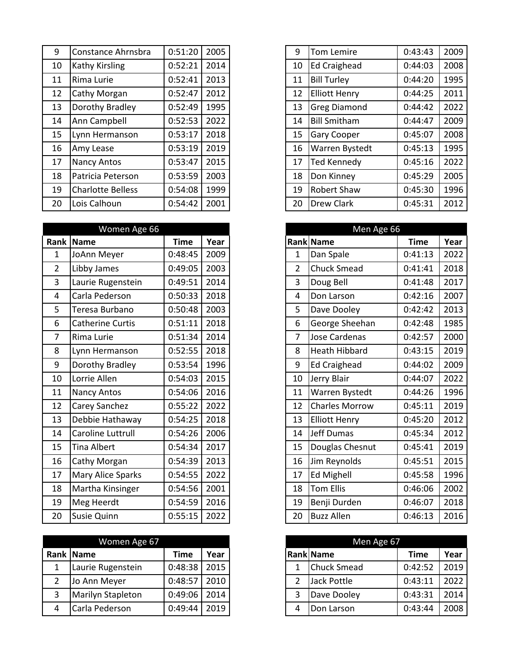| 9  | Constance Ahrnsbra       | 0:51:20 | 2005 |
|----|--------------------------|---------|------|
| 10 | Kathy Kirsling           | 0:52:21 | 2014 |
| 11 | Rima Lurie               | 0:52:41 | 2013 |
| 12 | Cathy Morgan             | 0:52:47 | 2012 |
| 13 | Dorothy Bradley          | 0:52:49 | 1995 |
| 14 | Ann Campbell             | 0:52:53 | 2022 |
| 15 | Lynn Hermanson           | 0:53:17 | 2018 |
| 16 | Amy Lease                | 0:53:19 | 2019 |
| 17 | <b>Nancy Antos</b>       | 0:53:47 | 2015 |
| 18 | Patricia Peterson        | 0:53:59 | 2003 |
| 19 | <b>Charlotte Belless</b> | 0:54:08 | 1999 |
| 20 | Lois Calhoun             | 0:54:42 | 2001 |

|                | Women Age 66            |             |      |                | Men Age 66            |             |      |
|----------------|-------------------------|-------------|------|----------------|-----------------------|-------------|------|
|                | Rank Name               | <b>Time</b> | Year |                | Rank Name             | <b>Time</b> | Year |
| $\mathbf{1}$   | JoAnn Meyer             | 0:48:45     | 2009 | $\mathbf{1}$   | Dan Spale             | 0:41:13     | 2022 |
| $\overline{2}$ | Libby James             | 0:49:05     | 2003 | $\overline{2}$ | <b>Chuck Smead</b>    | 0:41:41     | 2018 |
| 3              | Laurie Rugenstein       | 0:49:51     | 2014 | 3              | Doug Bell             | 0:41:48     | 2017 |
| 4              | Carla Pederson          | 0:50:33     | 2018 | 4              | Don Larson            | 0:42:16     | 2007 |
| 5              | Teresa Burbano          | 0:50:48     | 2003 | 5              | Dave Dooley           | 0:42:42     | 2013 |
| 6              | <b>Catherine Curtis</b> | 0:51:11     | 2018 | 6              | George Sheehan        | 0:42:48     | 1985 |
| $\overline{7}$ | Rima Lurie              | 0:51:34     | 2014 | $\overline{7}$ | Jose Cardenas         | 0:42:57     | 2000 |
| 8              | Lynn Hermanson          | 0:52:55     | 2018 | 8              | Heath Hibbard         | 0:43:15     | 2019 |
| 9              | Dorothy Bradley         | 0:53:54     | 1996 | 9              | <b>Ed Craighead</b>   | 0:44:02     | 2009 |
| 10             | Lorrie Allen            | 0:54:03     | 2015 | 10             | Jerry Blair           | 0:44:07     | 2022 |
| 11             | Nancy Antos             | 0:54:06     | 2016 | 11             | Warren Bystedt        | 0:44:26     | 1996 |
| 12             | Carey Sanchez           | 0:55:22     | 2022 | 12             | <b>Charles Morrow</b> | 0:45:11     | 2019 |
| 13             | Debbie Hathaway         | 0:54:25     | 2018 | 13             | <b>Elliott Henry</b>  | 0:45:20     | 2012 |
| 14             | Caroline Luttrull       | 0:54:26     | 2006 | 14             | Jeff Dumas            | 0:45:34     | 2012 |
| 15             | <b>Tina Albert</b>      | 0:54:34     | 2017 | 15             | Douglas Chesnut       | 0:45:41     | 2019 |
| 16             | Cathy Morgan            | 0:54:39     | 2013 | 16             | Jim Reynolds          | 0:45:51     | 2015 |
| 17             | Mary Alice Sparks       | 0:54:55     | 2022 | 17             | <b>Ed Mighell</b>     | 0:45:58     | 1996 |
| 18             | Martha Kinsinger        | 0:54:56     | 2001 | 18             | Tom Ellis             | 0:46:06     | 2002 |
| 19             | Meg Heerdt              | 0:54:59     | 2016 | 19             | Benji Durden          | 0:46:07     | 2018 |
| 20             | Susie Quinn             | 0:55:15     | 2022 | 20             | <b>Buzz Allen</b>     | 0:46:13     | 2016 |

|   | Women Age 67      |         |      |
|---|-------------------|---------|------|
|   | Rank Name         | Time    | Year |
|   | Laurie Rugenstein | 0:48:38 | 2015 |
| 2 | Jo Ann Meyer      | 0:48:57 | 2010 |
| 3 | Marilyn Stapleton | 0:49:06 | 2014 |
| 4 | Carla Pederson    | 0:49:44 | 2019 |

| 9  | Constance Ahrnsbra       | 0:51:20 | 2005 | 9  | Tom Lemire           | 0:43:43 | 2009 |
|----|--------------------------|---------|------|----|----------------------|---------|------|
| 10 | <b>Kathy Kirsling</b>    | 0:52:21 | 2014 | 10 | <b>Ed Craighead</b>  | 0:44:03 | 2008 |
| 11 | Rima Lurie               | 0:52:41 | 2013 | 11 | <b>Bill Turley</b>   | 0:44:20 | 1995 |
| 12 | Cathy Morgan             | 0:52:47 | 2012 | 12 | <b>Elliott Henry</b> | 0:44:25 | 2011 |
| 13 | Dorothy Bradley          | 0:52:49 | 1995 | 13 | <b>Greg Diamond</b>  | 0:44:42 | 2022 |
| 14 | Ann Campbell             | 0:52:53 | 2022 | 14 | <b>Bill Smitham</b>  | 0:44:47 | 2009 |
| 15 | Lynn Hermanson           | 0:53:17 | 2018 | 15 | <b>Gary Cooper</b>   | 0:45:07 | 2008 |
| 16 | Amy Lease                | 0:53:19 | 2019 | 16 | Warren Bystedt       | 0:45:13 | 1995 |
| 17 | <b>Nancy Antos</b>       | 0:53:47 | 2015 | 17 | <b>Ted Kennedy</b>   | 0:45:16 | 2022 |
| 18 | Patricia Peterson        | 0:53:59 | 2003 | 18 | Don Kinney           | 0:45:29 | 2005 |
| 19 | <b>Charlotte Belless</b> | 0:54:08 | 1999 | 19 | <b>Robert Shaw</b>   | 0:45:30 | 1996 |
| 20 | Lois Calhoun             | 0:54:42 | 2001 | 20 | <b>Drew Clark</b>    | 0:45:31 | 2012 |
|    |                          |         |      |    |                      |         |      |

|                  | Women Age 66            |             |      |
|------------------|-------------------------|-------------|------|
|                  | ank Name                | <b>Time</b> | Year |
| $\mathbf{1}$     | JoAnn Meyer             | 0:48:45     | 2009 |
| $\overline{2}$   | Libby James             | 0:49:05     | 2003 |
| $\overline{3}$   | Laurie Rugenstein       | 0:49:51     | 2014 |
| $\overline{4}$   | Carla Pederson          | 0:50:33     | 2018 |
| 5                | Teresa Burbano          | 0:50:48     | 2003 |
| 6                | <b>Catherine Curtis</b> | 0:51:11     | 2018 |
| $\overline{7}$   | Rima Lurie              | 0:51:34     | 2014 |
| 8                | Lynn Hermanson          | 0:52:55     | 2018 |
| $\boldsymbol{9}$ | Dorothy Bradley         | 0:53:54     | 1996 |
| 10               | Lorrie Allen            | 0:54:03     | 2015 |
| 11               | Nancy Antos             | 0:54:06     | 2016 |
| 12               | Carey Sanchez           | 0:55:22     | 2022 |
| 13               | Debbie Hathaway         | 0:54:25     | 2018 |
| 14               | Caroline Luttrull       | 0:54:26     | 2006 |
| 15               | <b>Tina Albert</b>      | 0:54:34     | 2017 |
| 16               | Cathy Morgan            | 0:54:39     | 2013 |
| 17               | Mary Alice Sparks       | 0:54:55     | 2022 |
| 18               | Martha Kinsinger        | 0:54:56     | 2001 |
| 19               | Meg Heerdt              | 0:54:59     | 2016 |
| 20               | <b>Susie Quinn</b>      | 0:55:15     | 2022 |

|                | Women Age 67      |         |      |  | Men Age 67         |         |      |
|----------------|-------------------|---------|------|--|--------------------|---------|------|
|                | ank  Name         | Time    | Year |  | <b>Rank Name</b>   | Time    | Year |
|                | Laurie Rugenstein | 0:48:38 | 2015 |  | <b>Chuck Smead</b> | 0:42:52 | 2019 |
| $\overline{2}$ | Jo Ann Meyer      | 0:48:57 | 2010 |  | Jack Pottle        | 0:43:11 | 2022 |
| 3              | Marilyn Stapleton | 0:49:06 | 2014 |  | Dave Dooley        | 0:43:31 | 2014 |
| 4              | Carla Pederson    | 0:49:44 | 2019 |  | Don Larson         | 0:43:44 | 2008 |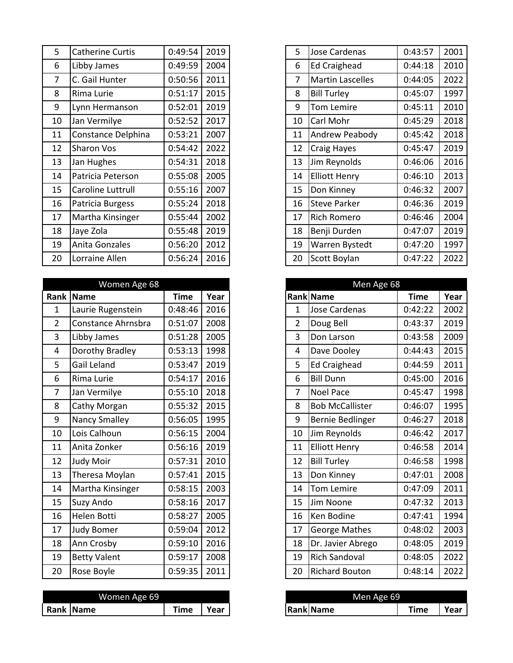| 5  | <b>Catherine Curtis</b> | 0:49:54 | 2019 |
|----|-------------------------|---------|------|
| 6  | Libby James             | 0:49:59 | 2004 |
| 7  | C. Gail Hunter          | 0:50:56 | 2011 |
| 8  | Rima Lurie              | 0:51:17 | 2015 |
| 9  | Lynn Hermanson          | 0:52:01 | 2019 |
| 10 | Jan Vermilye            | 0:52:52 | 2017 |
| 11 | Constance Delphina      | 0:53:21 | 2007 |
| 12 | <b>Sharon Vos</b>       | 0:54:42 | 2022 |
| 13 | Jan Hughes              | 0:54:31 | 2018 |
| 14 | Patricia Peterson       | 0:55:08 | 2005 |
| 15 | Caroline Luttrull       | 0:55:16 | 2007 |
| 16 | Patricia Burgess        | 0:55:24 | 2018 |
| 17 | Martha Kinsinger        | 0:55:44 | 2002 |
| 18 | Jaye Zola               | 0:55:48 | 2019 |
| 19 | Anita Gonzales          | 0:56:20 | 2012 |
| 20 | Lorraine Allen          | 0:56:24 | 2016 |

|                | Women Age 68        |             |      |
|----------------|---------------------|-------------|------|
|                | Rank Name           | <b>Time</b> | Year |
| $\mathbf{1}$   | Laurie Rugenstein   | 0:48:46     | 2016 |
| $\overline{2}$ | Constance Ahrnsbra  | 0:51:07     | 2008 |
| $\overline{3}$ | Libby James         | 0:51:28     | 2005 |
| 4              | Dorothy Bradley     | 0:53:13     | 1998 |
| 5              | Gail Leland         | 0:53:47     | 2019 |
| 6              | Rima Lurie          | 0:54:17     | 2016 |
| $\overline{7}$ | Jan Vermilye        | 0:55:10     | 2018 |
| 8              | Cathy Morgan        | 0:55:32     | 2015 |
| 9              | Nancy Smalley       | 0:56:05     | 1995 |
| 10             | Lois Calhoun        | 0:56:15     | 2004 |
| 11             | Anita Zonker        | 0:56:16     | 2019 |
| 12             | Judy Moir           | 0:57:31     | 2010 |
| 13             | Theresa Moylan      | 0:57:41     | 2015 |
| 14             | Martha Kinsinger    | 0:58:15     | 2003 |
| 15             | <b>Suzy Ando</b>    | 0:58:16     | 2017 |
| 16             | Helen Botti         | 0:58:27     | 2005 |
| 17             | <b>Judy Bomer</b>   | 0:59:04     | 2012 |
| 18             | Ann Crosby          | 0:59:10     | 2016 |
| 19             | <b>Betty Valent</b> | 0:59:17     | 2008 |
| 20             | Rose Boyle          | 0:59:35     | 2011 |

| Women Age 69 |                  |           |      | Men Age 69       |                   |      |  |
|--------------|------------------|-----------|------|------------------|-------------------|------|--|
|              | <b>Rank Name</b> | --<br>īme | Year | <b>Rank Name</b> | --<br><b>Time</b> | Year |  |

| 5 <sup>5</sup> | <b>Catherine Curtis</b> | 0:49:54 | 2019 | 5  | Jose Cardenas           | 0:43:57 | 2001 |
|----------------|-------------------------|---------|------|----|-------------------------|---------|------|
| 6              | Libby James             | 0:49:59 | 2004 | 6  | <b>Ed Craighead</b>     | 0:44:18 | 2010 |
| $\overline{7}$ | C. Gail Hunter          | 0:50:56 | 2011 | 7  | <b>Martin Lascelles</b> | 0:44:05 | 2022 |
| 8              | Rima Lurie              | 0:51:17 | 2015 | 8  | <b>Bill Turley</b>      | 0:45:07 | 1997 |
| 9              | Lynn Hermanson          | 0:52:01 | 2019 | 9  | <b>Tom Lemire</b>       | 0:45:11 | 2010 |
| 10             | Jan Vermilye            | 0:52:52 | 2017 | 10 | Carl Mohr               | 0:45:29 | 2018 |
| 11             | Constance Delphina      | 0:53:21 | 2007 | 11 | Andrew Peabody          | 0:45:42 | 2018 |
| 12             | Sharon Vos              | 0:54:42 | 2022 | 12 | Craig Hayes             | 0:45:47 | 2019 |
| 13             | Jan Hughes              | 0:54:31 | 2018 | 13 | Jim Reynolds            | 0:46:06 | 2016 |
| 14             | Patricia Peterson       | 0:55:08 | 2005 | 14 | <b>Elliott Henry</b>    | 0:46:10 | 2013 |
| 15             | Caroline Luttrull       | 0:55:16 | 2007 | 15 | Don Kinney              | 0:46:32 | 2007 |
| 16             | Patricia Burgess        | 0:55:24 | 2018 | 16 | <b>Steve Parker</b>     | 0:46:36 | 2019 |
| 17             | Martha Kinsinger        | 0:55:44 | 2002 | 17 | <b>Rich Romero</b>      | 0:46:46 | 2004 |
| 18             | Jaye Zola               | 0:55:48 | 2019 | 18 | Benji Durden            | 0:47:07 | 2019 |
| 19             | Anita Gonzales          | 0:56:20 | 2012 | 19 | Warren Bystedt          | 0:47:20 | 1997 |
| 20             | Lorraine Allen          | 0:56:24 | 2016 | 20 | Scott Boylan            | 0:47:22 | 2022 |
|                |                         |         |      |    |                         |         |      |

|                | Women Age 68         |             |      |                | Men Age 68             |             |  |
|----------------|----------------------|-------------|------|----------------|------------------------|-------------|--|
|                | ank Name             | <b>Time</b> | Year |                | Rank Name              | <b>Time</b> |  |
| $\mathbf{1}$   | Laurie Rugenstein    | 0:48:46     | 2016 | $\mathbf{1}$   | Jose Cardenas          | 0:42:22     |  |
| $\overline{2}$ | Constance Ahrnsbra   | 0:51:07     | 2008 | $\overline{2}$ | Doug Bell              | 0:43:37     |  |
| 3              | Libby James          | 0:51:28     | 2005 | 3              | Don Larson             | 0:43:58     |  |
| $\overline{4}$ | Dorothy Bradley      | 0:53:13     | 1998 | 4              | Dave Dooley            | 0:44:43     |  |
| 5              | Gail Leland          | 0:53:47     | 2019 | 5              | <b>Ed Craighead</b>    | 0:44:59     |  |
| 6              | Rima Lurie           | 0:54:17     | 2016 | 6              | <b>Bill Dunn</b>       | 0:45:00     |  |
| $\overline{7}$ | Jan Vermilye         | 0:55:10     | 2018 | 7              | <b>Noel Pace</b>       | 0:45:47     |  |
| 8              | Cathy Morgan         | 0:55:32     | 2015 | 8              | <b>Bob McCallister</b> | 0:46:07     |  |
| 9              | <b>Nancy Smalley</b> | 0:56:05     | 1995 | 9              | Bernie Bedlinger       | 0:46:27     |  |
| 10             | Lois Calhoun         | 0:56:15     | 2004 | 10             | Jim Reynolds           | 0:46:42     |  |
| 11             | Anita Zonker         | 0:56:16     | 2019 | 11             | <b>Elliott Henry</b>   | 0:46:58     |  |
| 12             | Judy Moir            | 0:57:31     | 2010 | 12             | <b>Bill Turley</b>     | 0:46:58     |  |
| 13             | Theresa Moylan       | 0:57:41     | 2015 | 13             | Don Kinney             | 0:47:01     |  |
| 14             | Martha Kinsinger     | 0:58:15     | 2003 | 14             | Tom Lemire             | 0:47:09     |  |
| 15             | Suzy Ando            | 0:58:16     | 2017 | 15             | Jim Noone              | 0:47:32     |  |
| 16             | Helen Botti          | 0:58:27     | 2005 | 16             | Ken Bodine             | 0:47:41     |  |
| 17             | <b>Judy Bomer</b>    | 0:59:04     | 2012 | 17             | George Mathes          | 0:48:02     |  |
| 18             | Ann Crosby           | 0:59:10     | 2016 | 18             | Dr. Javier Abrego      | 0:48:05     |  |
| 19             | <b>Betty Valent</b>  | 0:59:17     | 2008 | 19             | Rich Sandoval          | 0:48:05     |  |
| 20             | Rose Boyle           | 0:59:35     | 2011 | 20             | Richard Bouton         | 0:48:14     |  |

| Men Age 69 |                  |  |             |      |  |  |  |
|------------|------------------|--|-------------|------|--|--|--|
|            | <b>Rank Name</b> |  | <b>Time</b> | Year |  |  |  |